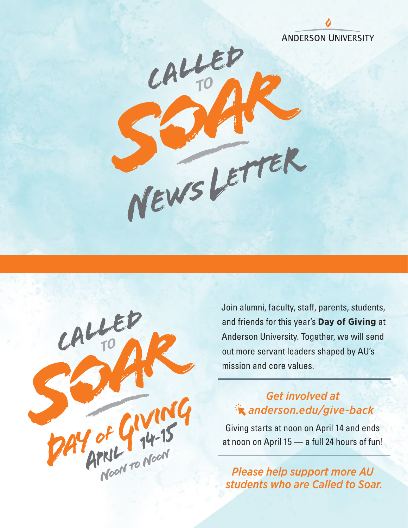



Join alumni, faculty, staff, parents, students, and friends for this year's **Day of Giving** at Anderson University. Together, we will send out more servant leaders shaped by AU's mission and core values.

## *Get involved at [anderson.edu/give-back](https://anderson.edu/called-to-soar/)*

Giving starts at noon on April 14 and ends at noon on April 15 — a full 24 hours of fun!

*Please help support more AU students who are Called to Soar.*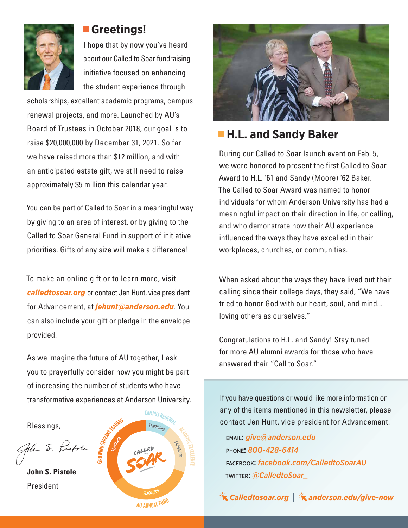

#### **Greetings!**

I hope that by now you've heard about our Called to Soar fundraising initiative focused on enhancing the student experience through

scholarships, excellent academic programs, campus renewal projects, and more. Launched by AU's Board of Trustees in October 2018, our goal is to raise \$20,000,000 by December 31, 2021. So far we have raised more than \$12 million, and with an anticipated estate gift, we still need to raise approximately \$5 million this calendar year.

You can be part of Called to Soar in a meaningful way by giving to an area of interest, or by giving to the Called to Soar General Fund in support of initiative priorities. Gifts of any size will make a difference!

To make an online gift or to learn more, visit *[calledtosoar.org](https://anderson.edu/called-to-soar/)* or contact Jen Hunt, vice president for Advancement, at *jehunt@anderson.edu*. You can also include your gift or pledge in the envelope provided.

As we imagine the future of AU together, I ask you to prayerfully consider how you might be part of increasing the number of students who have transformative experiences at Anderson University.

Blessings,

John S. Pistole

**John S. Pistole** President





# **H.L. and Sandy Baker**

During our Called to Soar launch event on Feb. 5, we were honored to present the first Called to Soar Award to H.L. '61 and Sandy (Moore) '62 Baker. The Called to Soar Award was named to honor individuals for whom Anderson University has had a meaningful impact on their direction in life, or calling, and who demonstrate how their AU experience influenced the ways they have excelled in their workplaces, churches, or communities.

When asked about the ways they have lived out their calling since their college days, they said, "We have tried to honor God with our heart, soul, and mind... loving others as ourselves."

Congratulations to H.L. and Sandy! Stay tuned for more AU alumni awards for those who have answered their "Call to Soar."

If you have questions or would like more information on any of the items mentioned in this newsletter, please contact Jen Hunt, vice president for Advancement.

email: *give@anderson.edu* phone: *800-428-6414* facebook: *facebook.com/CalledtoSoarAU* twitter: *@CalledtoSoar\_*

 $\mathcal{R}^{\mathcal{R}}$  [Calledtosoar.org](https://anderson.edu/called-to-soar/) |  $\mathcal{R}$  [anderson.edu/give-now](https://www.givecampus.com/campaigns/18048/donations/new)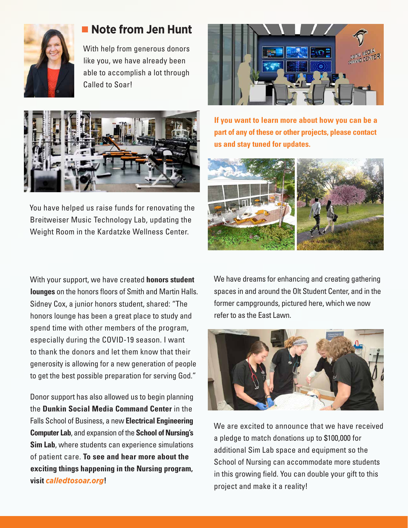

## **Note from Jen Hunt**

With help from generous donors like you, we have already been able to accomplish a lot through Called to Soar!



You have helped us raise funds for renovating the Breitweiser Music Technology Lab, updating the Weight Room in the Kardatzke Wellness Center.

With your support, we have created **honors student lounges** on the honors floors of Smith and Martin Halls. Sidney Cox, a junior honors student, shared: "The honors lounge has been a great place to study and spend time with other members of the program, especially during the COVID-19 season. I want to thank the donors and let them know that their generosity is allowing for a new generation of people to get the best possible preparation for serving God."

Donor support has also allowed us to begin planning the **Dunkin Social Media Command Center** in the Falls School of Business, a new **Electrical Engineering Computer Lab**, and expansion of the **School of Nursing's Sim Lab**, where students can experience simulations of patient care. **To see and hear more about the exciting things happening in the Nursing program, visit** *[calledtosoar.org](https://anderson.edu/called-to-soar/)***!**



**If you want to learn more about how you can be a part of any of these or other projects, please contact us and stay tuned for updates.** 



We have dreams for enhancing and creating gathering spaces in and around the Olt Student Center, and in the former campgrounds, pictured here, which we now refer to as the East Lawn.



We are excited to announce that we have received a pledge to match donations up to \$100,000 for additional Sim Lab space and equipment so the School of Nursing can accommodate more students in this growing field. You can double your gift to this project and make it a reality!